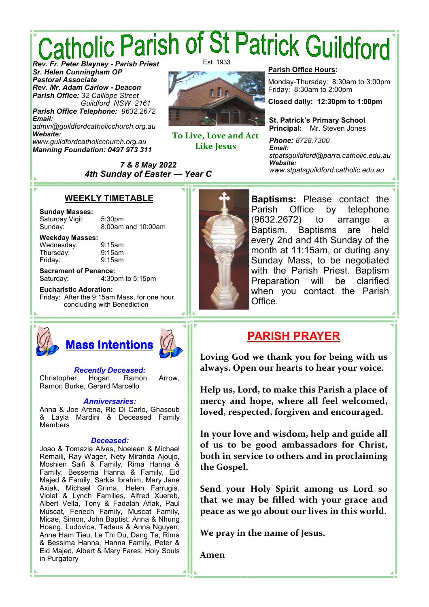# *Catholic Parish of St Patrick Guildford<br>Rev. Er. Peter Blayney - Parish Priest*

*Sr. Helen Cunningham OP Pastoral Associate Rev. Mr. Adam Carlow* **-** *Deacon Parish Office: 32 Calliope Street Guildford NSW 2161 Parish Office Telephone: 9632.2672*

*Email: admin@guildfordcatholicchurch.org.au Website: www.guildfordcatholicchurch.org.au Manning Foundation: 0497 973 311*

Est. 1933



**To Live, Love and Act Like Jesus** 

#### **Parish Office Hours:**

Monday-Thursday: 8:30am to 3:00pm Friday: 8:30am to 2:00pm

**Closed daily: 12:30pm to 1:00pm**

**St. Patrick's Primary School Principal:** Mr. Steven Jones

*Phone: 8728.7300 Email: stpatsguildford@parra.catholic.edu.au Website: www.stpatsguildford.catholic.edu.au*

## **WEEKLY TIMETABLE**

*7 & 8 May 2022 4th Sunday of Easter* **—** *Year C*

# **Sunday Masses:**

Saturday Vigil: 5:30pm Sunday: 8:00am and 10:00am

#### **Weekday Masses:** Wednesday: 9:15am

Thursday: 9:15am

Friday: 9:15am **Sacrament of Penance:** Saturday: 4:30pm to 5:15pm

**Eucharistic Adoration:** Friday: After the 9:15am Mass, for one hour, concluding with Benediction



**Baptisms:** Please contact the Parish Office by telephone (9632.2672) to arrange a Baptism. Baptisms are held every 2nd and 4th Sunday of the month at 11:15am, or during any Sunday Mass, to be negotiated with the Parish Priest. Baptism Preparation will be clarified when you contact the Parish Office.

## **PARISH PRAYER**

**Loving God we thank you for being with us always. Open our hearts to hear your voice.** 

**Help us, Lord, to make this Parish a place of mercy and hope, where all feel welcomed, loved, respected, forgiven and encouraged.** 

**In your love and wisdom, help and guide all of us to be good ambassadors for Christ, both in service to others and in proclaiming the Gospel.** 

**Send your Holy Spirit among us Lord so that we may be filled with your grace and peace as we go about our lives in this world.** 

**We pray in the name of Jesus.** 

**Amen** 

**Mass Intentions**

## *Recently Deceased:*

Christopher Hogan, Ramon Arrow, Ramon Burke, Gerard Marcello

## *Anniversaries:*

Anna & Joe Arena, Ric Di Carlo, Ghasoub & Layla Mardini & Deceased Family **Members** 

## *Deceased:*

Joao & Tomazia Alves, Noeleen & Michael Remaili, Ray Wager, Nety Miranda Ajoujo, Moshien Saifi & Family, Rima Hanna & Family, Bessema Hanna & Family, Eid Majed & Family, Sarkis Ibrahim, Mary Jane Axiak, Michael Grima, Helen Farrugia, Violet & Lynch Families, Alfred Xuereb, Albert Vella, Tony & Fadalah Aflak, Paul Muscat, Fenech Family, Muscat Family, Micae, Simon, John Baptist, Anna & Nhung Hoang, Ludovica, Tadeus & Anna Nguyen, Anne Ham Tieu, Le Thi Du, Dang Ta, Rima & Bessima Hanna, Hanna Family, Peter & Eid Majed, Albert & Mary Fares, Holy Souls in Purgatory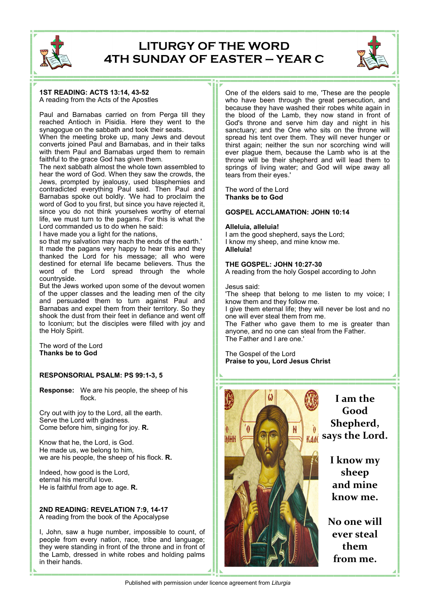

## **LITURGY OF THE WORD 4TH SUNDAY OF EASTER — YEAR C**

#### **1ST READING: ACTS 13:14, 43-52** A reading from the Acts of the Apostles

Paul and Barnabas carried on from Perga till they reached Antioch in Pisidia. Here they went to the synagogue on the sabbath and took their seats.

When the meeting broke up, many Jews and devout converts joined Paul and Barnabas, and in their talks with them Paul and Barnabas urged them to remain faithful to the grace God has given them.

The next sabbath almost the whole town assembled to hear the word of God. When they saw the crowds, the Jews, prompted by jealousy, used blasphemies and contradicted everything Paul said. Then Paul and Barnabas spoke out boldly. 'We had to proclaim the word of God to you first, but since you have rejected it, since you do not think yourselves worthy of eternal life, we must turn to the pagans. For this is what the Lord commanded us to do when he said:

I have made you a light for the nations,

so that my salvation may reach the ends of the earth.'

It made the pagans very happy to hear this and they thanked the Lord for his message; all who were destined for eternal life became believers. Thus the word of the Lord spread through the whole countryside.

But the Jews worked upon some of the devout women of the upper classes and the leading men of the city and persuaded them to turn against Paul and Barnabas and expel them from their territory. So they shook the dust from their feet in defiance and went off to Iconium; but the disciples were filled with joy and the Holy Spirit.

The word of the Lord **Thanks be to God**

#### **RESPONSORIAL PSALM: PS 99:1-3, 5**

**Response:** We are his people, the sheep of his flock.

Cry out with joy to the Lord, all the earth. Serve the Lord with gladness. Come before him, singing for joy. **R.**

Know that he, the Lord, is God. He made us, we belong to him, we are his people, the sheep of his flock. **R.**

Indeed, how good is the Lord, eternal his merciful love. He is faithful from age to age. **R.**

#### **2ND READING: REVELATION 7:9, 14-17** A reading from the book of the Apocalypse

I, John, saw a huge number, impossible to count, of people from every nation, race, tribe and language; they were standing in front of the throne and in front of the Lamb, dressed in white robes and holding palms in their hands.

One of the elders said to me, 'These are the people who have been through the great persecution, and because they have washed their robes white again in the blood of the Lamb, they now stand in front of God's throne and serve him day and night in his sanctuary; and the One who sits on the throne will spread his tent over them. They will never hunger or thirst again; neither the sun nor scorching wind will ever plague them, because the Lamb who is at the throne will be their shepherd and will lead them to springs of living water; and God will wipe away all tears from their eyes.'

The word of the Lord **Thanks be to God**

#### **GOSPEL ACCLAMATION: JOHN 10:14**

#### **Alleluia, alleluia!**

I am the good shepherd, says the Lord; I know my sheep, and mine know me. **Alleluia!**

#### **THE GOSPEL: JOHN 10:27-30**

A reading from the holy Gospel according to John

Jesus said:

'The sheep that belong to me listen to my voice; I know them and they follow me.

I give them eternal life; they will never be lost and no one will ever steal them from me.

The Father who gave them to me is greater than anyone, and no one can steal from the Father. The Father and I are one.'

The Gospel of the Lord **Praise to you, Lord Jesus Christ**



**I am the Shepherd,** 

> **I know my and mine know me.**

**No one will ever steal from me.**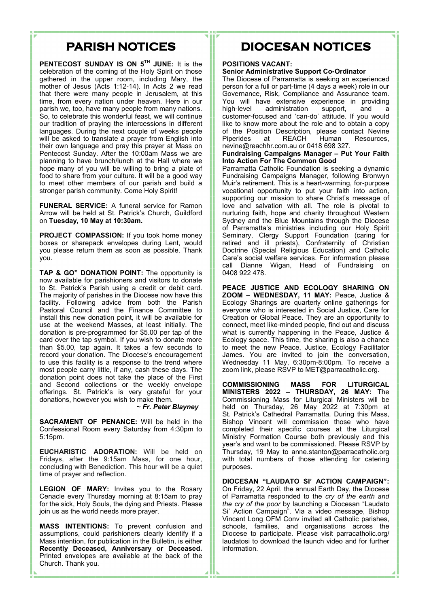## **PARISH NOTICES**

**PENTECOST SUNDAY IS ON 5TH JUNE:** It is the celebration of the coming of the Holy Spirit on those gathered in the upper room, including Mary, the mother of Jesus (Acts 1:12-14). In Acts 2 we read that there were many people in Jerusalem, at this time, from every nation under heaven. Here in our parish we, too, have many people from many nations. So, to celebrate this wonderful feast, we will continue our tradition of praying the intercessions in different languages. During the next couple of weeks people will be asked to translate a prayer from English into their own language and pray this prayer at Mass on Pentecost Sunday. After the 10:00am Mass we are planning to have brunch/lunch at the Hall where we hope many of you will be willing to bring a plate of food to share from your culture. It will be a good way to meet other members of our parish and build a stronger parish community. Come Holy Spirit!

**FUNERAL SERVICE:** A funeral service for Ramon Arrow will be held at St. Patrick's Church, Guildford on **Tuesday, 10 May at 10:30am.**

**PROJECT COMPASSION:** If you took home money boxes or sharepack envelopes during Lent, would you please return them as soon as possible. Thank you.

**TAP & GO" DONATION POINT:** The opportunity is now available for parishioners and visitors to donate to St. Patrick's Parish using a credit or debit card. The majority of parishes in the Diocese now have this facility. Following advice from both the Parish Pastoral Council and the Finance Committee to install this new donation point, it will be available for use at the weekend Masses, at least initially. The donation is pre-programmed for \$5.00 per tap of the card over the tap symbol. If you wish to donate more than \$5.00, tap again. It takes a few seconds to record your donation. The Diocese's encouragement to use this facility is a response to the trend where most people carry little, if any, cash these days. The donation point does not take the place of the First and Second collections or the weekly envelope offerings. St. Patrick's is very grateful for your donations, however you wish to make them.

~ *Fr. Peter Blayney*

**SACRAMENT OF PENANCE:** Will be held in the Confessional Room every Saturday from 4:30pm to 5:15pm.

**EUCHARISTIC ADORATION:** Will be held on Fridays, after the 9:15am Mass, for one hour, concluding with Benediction. This hour will be a quiet time of prayer and reflection.

**LEGION OF MARY:** Invites you to the Rosary Cenacle every Thursday morning at 8:15am to pray for the sick, Holy Souls, the dying and Priests. Please join us as the world needs more prayer.

**MASS INTENTIONS:** To prevent confusion and assumptions, could parishioners clearly identify if a Mass intention, for publication in the Bulletin, is either **Recently Deceased, Anniversary or Deceased.** Printed envelopes are available at the back of the Church. Thank you.

# **DIOCESAN NOTICES**

#### **POSITIONS VACANT:**

#### **Senior Administrative Support Co-Ordinator**

The Diocese of Parramatta is seeking an experienced person for a full or part-time (4 days a week) role in our Governance, Risk, Compliance and Assurance team. You will have extensive experience in providing high-level administration support, and a customer-focused and 'can-do' attitude. If you would like to know more about the role and to obtain a copy of the Position Description, please contact Nevine Piperides at REACH Human Resources, nevine@reachhr.com.au or 0418 698 327.

#### **Fundraising Campaigns Manager – Put Your Faith Into Action For The Common Good**

Parramatta Catholic Foundation is seeking a dynamic Fundraising Campaigns Manager, following Bronwyn Muir's retirement. This is a heart-warming, for-purpose vocational opportunity to put your faith into action, supporting our mission to share Christ's message of love and salvation with all. The role is pivotal to nurturing faith, hope and charity throughout Western Sydney and the Blue Mountains through the Diocese of Parramatta's ministries including our Holy Spirit Seminary, Clergy Support Foundation (caring for retired and ill priests), Confraternity of Christian Doctrine (Special Religious Education) and Catholic Care's social welfare services. For information please call Dianne Wigan, Head of Fundraising on 0408 922 478.

**PEACE JUSTICE AND ECOLOGY SHARING ON ZOOM – WEDNESDAY, 11 MAY:** Peace, Justice & Ecology Sharings are quarterly online gatherings for everyone who is interested in Social Justice, Care for Creation or Global Peace. They are an opportunity to connect, meet like-minded people, find out and discuss what is currently happening in the Peace, Justice & Ecology space. This time, the sharing is also a chance to meet the new Peace, Justice, Ecology Facilitator James. You are invited to join the conversation, Wednesday 11 May, 6:30pm-8:00pm. To receive a zoom link, please RSVP to MET@parracatholic.org.

**COMMISSIONING MASS FOR LITURGICAL MINISTERS 2022 – THURSDAY, 26 MAY:** The Commissioning Mass for Liturgical Ministers will be held on Thursday, 26 May 2022 at 7:30pm at St. Patrick's Cathedral Parramatta. During this Mass, Bishop Vincent will commission those who have completed their specific courses at the Liturgical Ministry Formation Course both previously and this year's and want to be commissioned. Please RSVP by Thursday, 19 May to anne.stanton@parracatholic.org with total numbers of those attending for catering purposes.

**DIOCESAN "LAUDATO SI' ACTION CAMPAIGN":** On Friday, 22 April, the annual Earth Day, the Diocese of Parramatta responded to the *cry of the earth and the cry of the poor* by launching a Diocesan "Laudato Si' Action Campaign". Via a video message, Bishop Vincent Long OFM Conv invited all Catholic parishes, schools, families, and organisations across the Diocese to participate. Please visit parracatholic.org/ laudatosi to download the launch video and for further information.